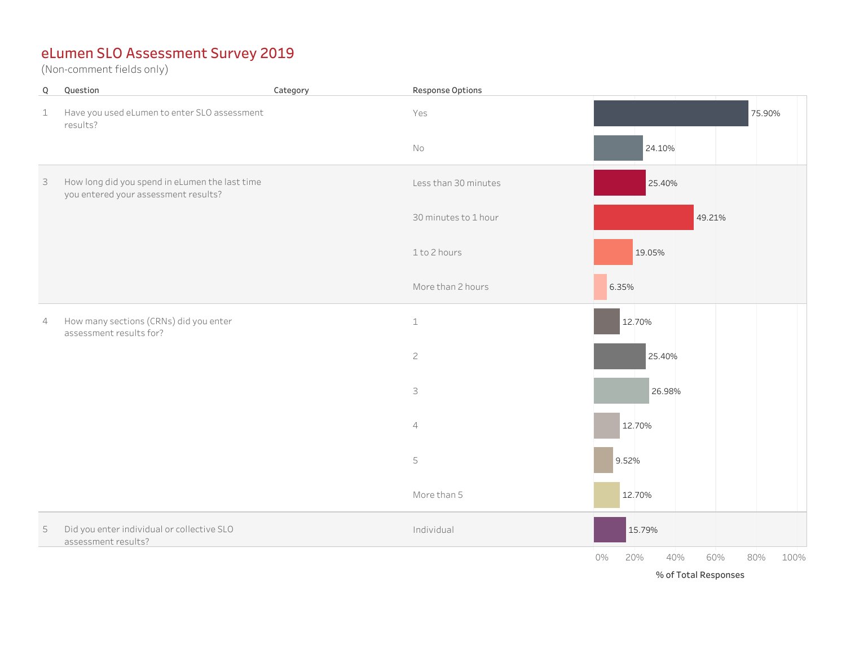| $\mathsf Q$ | Question                                                                               | Category | Response Options     |                                        |
|-------------|----------------------------------------------------------------------------------------|----------|----------------------|----------------------------------------|
| $\mathbf 1$ | Have you used eLumen to enter SLO assessment<br>results?                               |          | Yes                  | 75.90%                                 |
|             |                                                                                        |          | No                   | 24.10%                                 |
| 3           | How long did you spend in eLumen the last time<br>you entered your assessment results? |          | Less than 30 minutes | 25.40%                                 |
|             |                                                                                        |          | 30 minutes to 1 hour | 49.21%                                 |
|             |                                                                                        |          | 1 to 2 hours         | 19.05%                                 |
|             |                                                                                        |          | More than 2 hours    | 6.35%                                  |
| 4           | How many sections (CRNs) did you enter<br>assessment results for?                      |          | $\mathbbm{1}$        | 12.70%                                 |
|             |                                                                                        |          | $\overline{c}$       | 25.40%                                 |
|             |                                                                                        |          | 3                    | 26.98%                                 |
|             |                                                                                        |          | $\sqrt{4}$           | 12.70%                                 |
|             |                                                                                        |          | 5                    | 9.52%                                  |
|             |                                                                                        |          | More than 5          | 12.70%                                 |
| $\mathsf S$ | Did you enter individual or collective SLO<br>assessment results?                      |          | Individual           | 15.79%                                 |
|             |                                                                                        |          |                      | 60%<br>80%<br>100%<br>0%<br>20%<br>40% |
|             |                                                                                        |          |                      | % of Total Responses                   |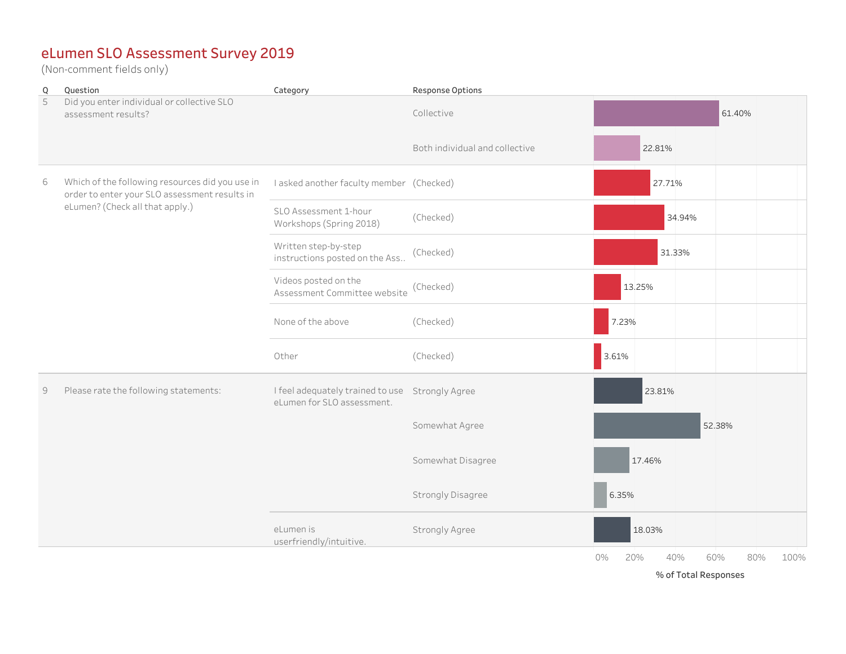(Non-comment fields only)

| Q | Question                                                                                                                            | Category                                                                      | Response Options               |                                        |
|---|-------------------------------------------------------------------------------------------------------------------------------------|-------------------------------------------------------------------------------|--------------------------------|----------------------------------------|
| 5 | Did you enter individual or collective SLO<br>assessment results?                                                                   |                                                                               | Collective                     | 61.40%                                 |
|   |                                                                                                                                     |                                                                               | Both individual and collective | 22.81%                                 |
| 6 | Which of the following resources did you use in<br>order to enter your SLO assessment results in<br>eLumen? (Check all that apply.) | I asked another faculty member (Checked)                                      |                                | 27.71%                                 |
|   |                                                                                                                                     | SLO Assessment 1-hour<br>Workshops (Spring 2018)                              | (Checked)                      | 34.94%                                 |
|   |                                                                                                                                     | Written step-by-step<br>instructions posted on the Ass                        | (Checked)                      | 31.33%                                 |
|   |                                                                                                                                     | Videos posted on the<br>Assessment Committee website                          | (Checked)                      | 13.25%                                 |
|   |                                                                                                                                     | None of the above                                                             | (Checked)                      | 7.23%                                  |
|   |                                                                                                                                     | Other                                                                         | (Checked)                      | 3.61%                                  |
| 9 | Please rate the following statements:                                                                                               | I feel adequately trained to use Strongly Agree<br>eLumen for SLO assessment. |                                | 23.81%                                 |
|   |                                                                                                                                     |                                                                               | Somewhat Agree                 | 52.38%                                 |
|   |                                                                                                                                     |                                                                               | Somewhat Disagree              | 17.46%                                 |
|   |                                                                                                                                     |                                                                               | <b>Strongly Disagree</b>       | 6.35%                                  |
|   |                                                                                                                                     | eLumen is<br>userfriendly/intuitive.                                          | Strongly Agree                 | 18.03%                                 |
|   |                                                                                                                                     |                                                                               |                                | 0%<br>20%<br>40%<br>60%<br>80%<br>100% |

% of Total Responses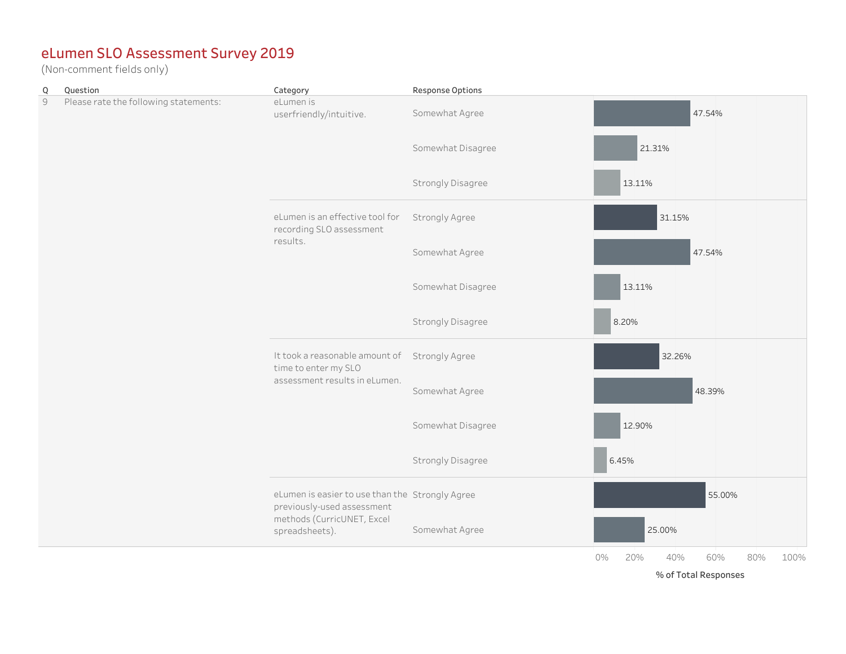(Non-comment fields only)

| Q | Question                              | Category                                                                                | Response Options      |                                        |
|---|---------------------------------------|-----------------------------------------------------------------------------------------|-----------------------|----------------------------------------|
| 9 | Please rate the following statements: | eLumen is<br>userfriendly/intuitive.                                                    | Somewhat Agree        | 47.54%                                 |
|   |                                       |                                                                                         | Somewhat Disagree     | 21.31%                                 |
|   |                                       |                                                                                         | Strongly Disagree     | 13.11%                                 |
|   |                                       | eLumen is an effective tool for<br>recording SLO assessment<br>results.                 | Strongly Agree        | 31.15%                                 |
|   |                                       |                                                                                         | Somewhat Agree        | 47.54%                                 |
|   |                                       |                                                                                         | Somewhat Disagree     | 13.11%                                 |
|   |                                       |                                                                                         | Strongly Disagree     | 8.20%                                  |
|   |                                       | It took a reasonable amount of<br>time to enter my SLO<br>assessment results in eLumen. | <b>Strongly Agree</b> | 32.26%                                 |
|   |                                       |                                                                                         | Somewhat Agree        | 48.39%                                 |
|   |                                       |                                                                                         | Somewhat Disagree     | 12.90%                                 |
|   |                                       |                                                                                         | Strongly Disagree     | 6.45%                                  |
|   |                                       | eLumen is easier to use than the Strongly Agree<br>previously-used assessment           |                       | 55.00%                                 |
|   |                                       | methods (CurricUNET, Excel<br>spreadsheets).                                            | Somewhat Agree        | 25.00%                                 |
|   |                                       |                                                                                         |                       | 40%<br>60%<br>80%<br>100%<br>0%<br>20% |

% of Total Responses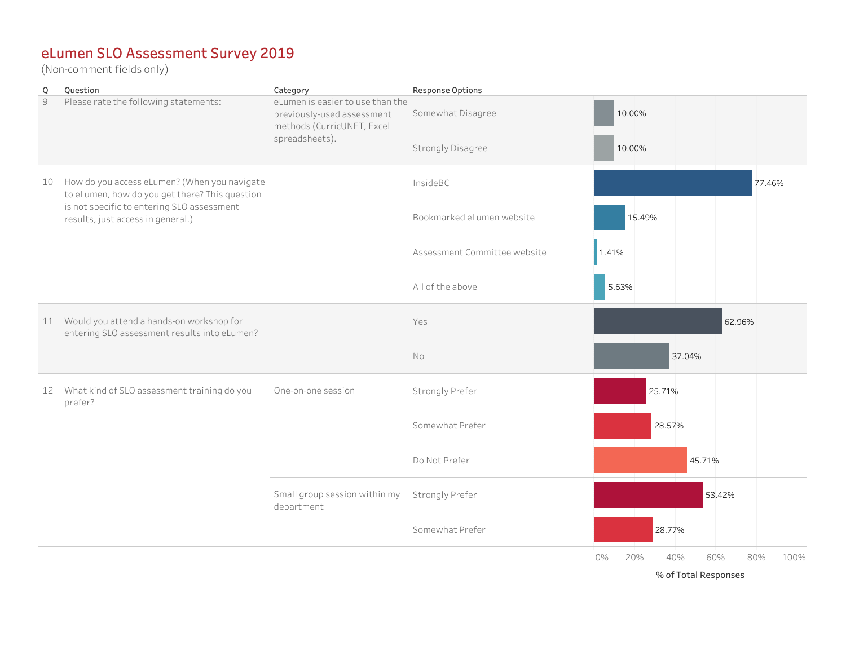| $\overline{Q}$ | Question                                                                                                                                                                          | Category                                                                                                       | Response Options             |                                                                |
|----------------|-----------------------------------------------------------------------------------------------------------------------------------------------------------------------------------|----------------------------------------------------------------------------------------------------------------|------------------------------|----------------------------------------------------------------|
| $\mathcal{G}$  | Please rate the following statements:                                                                                                                                             | eLumen is easier to use than the<br>previously-used assessment<br>methods (CurricUNET, Excel<br>spreadsheets). | Somewhat Disagree            | 10.00%                                                         |
|                |                                                                                                                                                                                   |                                                                                                                | Strongly Disagree            | 10.00%                                                         |
| 10             | How do you access eLumen? (When you navigate<br>to eLumen, how do you get there? This question<br>is not specific to entering SLO assessment<br>results, just access in general.) |                                                                                                                | InsideBC                     | 77.46%                                                         |
|                |                                                                                                                                                                                   |                                                                                                                | Bookmarked eLumen website    | 15.49%                                                         |
|                |                                                                                                                                                                                   |                                                                                                                | Assessment Committee website | 1.41%                                                          |
|                |                                                                                                                                                                                   |                                                                                                                | All of the above             | 5.63%                                                          |
|                | 11 Would you attend a hands-on workshop for<br>entering SLO assessment results into eLumen?                                                                                       |                                                                                                                | Yes                          | 62.96%                                                         |
|                |                                                                                                                                                                                   |                                                                                                                | No                           | 37.04%                                                         |
|                | 12 What kind of SLO assessment training do you<br>prefer?                                                                                                                         | One-on-one session                                                                                             | Strongly Prefer              | 25.71%                                                         |
|                |                                                                                                                                                                                   |                                                                                                                | Somewhat Prefer              | 28.57%                                                         |
|                |                                                                                                                                                                                   |                                                                                                                | Do Not Prefer                | 45.71%                                                         |
|                |                                                                                                                                                                                   | Small group session within my<br>department                                                                    | Strongly Prefer              | 53.42%                                                         |
|                |                                                                                                                                                                                   |                                                                                                                | Somewhat Prefer              | 28.77%                                                         |
|                |                                                                                                                                                                                   |                                                                                                                |                              | 0%<br>20%<br>40%<br>60%<br>80%<br>100%<br>% of Total Responses |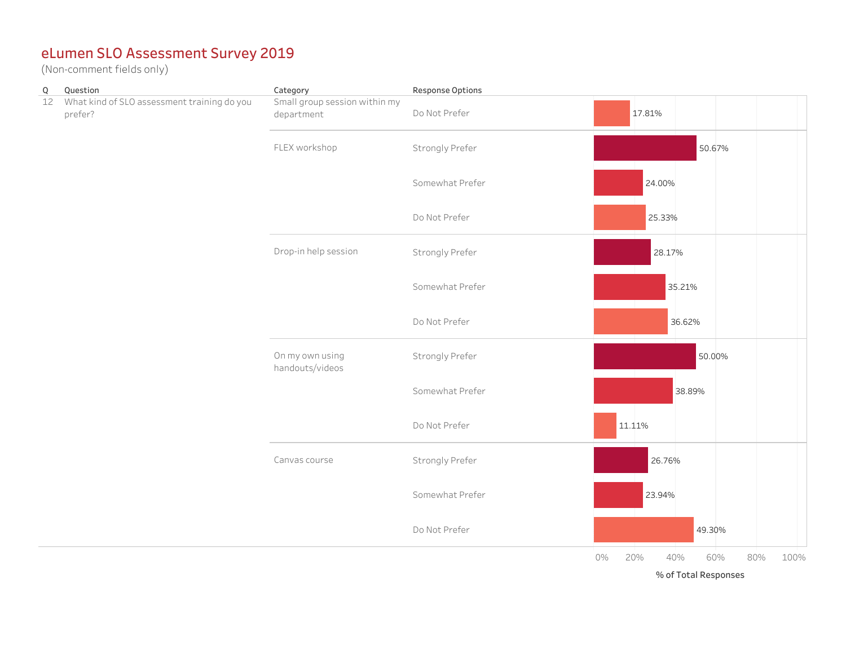| $\mathsf Q$ | Question                                               | Category                                    | Response Options |                                        |
|-------------|--------------------------------------------------------|---------------------------------------------|------------------|----------------------------------------|
| 12          | What kind of SLO assessment training do you<br>prefer? | Small group session within my<br>department | Do Not Prefer    | 17.81%                                 |
|             |                                                        | FLEX workshop                               | Strongly Prefer  | 50.67%                                 |
|             |                                                        |                                             | Somewhat Prefer  | 24.00%                                 |
|             |                                                        |                                             | Do Not Prefer    | 25.33%                                 |
|             |                                                        | Drop-in help session                        | Strongly Prefer  | 28.17%                                 |
|             |                                                        |                                             | Somewhat Prefer  | 35.21%                                 |
|             |                                                        |                                             | Do Not Prefer    | 36.62%                                 |
|             |                                                        | On my own using<br>handouts/videos          | Strongly Prefer  | 50.00%                                 |
|             |                                                        |                                             | Somewhat Prefer  | 38.89%                                 |
|             |                                                        |                                             | Do Not Prefer    | 11.11%                                 |
|             |                                                        | Canvas course                               | Strongly Prefer  | 26.76%                                 |
|             |                                                        |                                             | Somewhat Prefer  | 23.94%                                 |
|             |                                                        |                                             | Do Not Prefer    | 49.30%                                 |
|             |                                                        |                                             |                  | 20%<br>40%<br>80%<br>100%<br>0%<br>60% |
|             |                                                        |                                             |                  | % of Total Responses                   |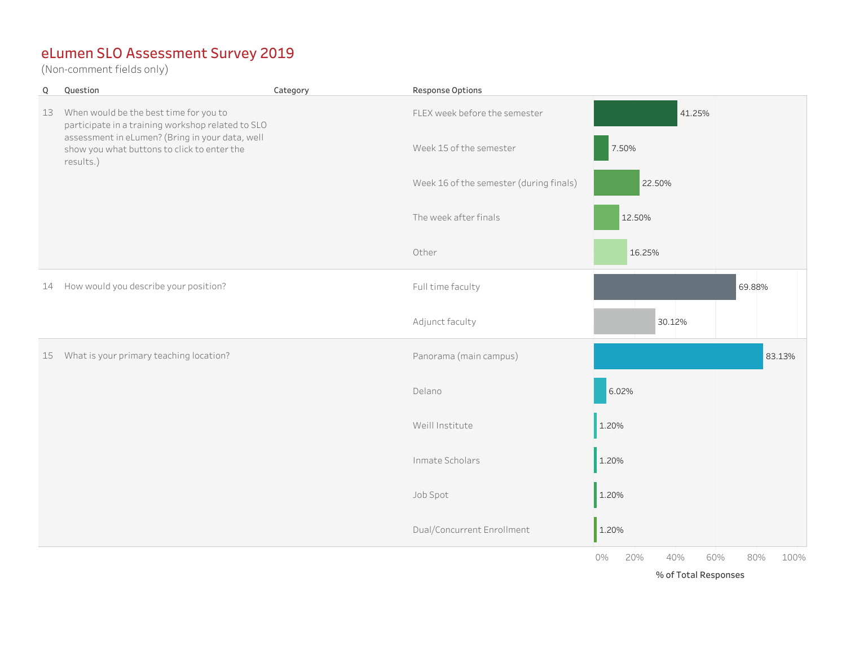$W(x) = \frac{1}{2} \int_{-\infty}^{\infty} \frac{1}{x} \, dx$ (Non-comment fields only)

| Q  | Question                                                                                                                                                                                                   | Category | Response Options                        |                                                                |
|----|------------------------------------------------------------------------------------------------------------------------------------------------------------------------------------------------------------|----------|-----------------------------------------|----------------------------------------------------------------|
| 13 | When would be the best time for you to<br>participate in a training workshop related to SLO<br>assessment in eLumen? (Bring in your data, well<br>show you what buttons to click to enter the<br>results.) |          | FLEX week before the semester           | 41.25%                                                         |
|    |                                                                                                                                                                                                            |          | Week 15 of the semester                 | 7.50%                                                          |
|    |                                                                                                                                                                                                            |          | Week 16 of the semester (during finals) | 22.50%                                                         |
|    |                                                                                                                                                                                                            |          | The week after finals                   | 12.50%                                                         |
|    |                                                                                                                                                                                                            |          | Other                                   | 16.25%                                                         |
| 14 | How would you describe your position?                                                                                                                                                                      |          | Full time faculty                       | 69.88%                                                         |
|    |                                                                                                                                                                                                            |          | Adjunct faculty                         | 30.12%                                                         |
|    | 15 What is your primary teaching location?                                                                                                                                                                 |          | Panorama (main campus)                  | 83.13%                                                         |
|    |                                                                                                                                                                                                            |          | Delano                                  | 6.02%                                                          |
|    |                                                                                                                                                                                                            |          | Weill Institute                         | 1.20%                                                          |
|    |                                                                                                                                                                                                            |          | Inmate Scholars                         | 1.20%                                                          |
|    |                                                                                                                                                                                                            |          | Job Spot                                | 1.20%                                                          |
|    |                                                                                                                                                                                                            |          | Dual/Concurrent Enrollment              | 1.20%                                                          |
|    |                                                                                                                                                                                                            |          |                                         | 0%<br>20%<br>40%<br>60%<br>80%<br>100%<br>% of Total Responses |